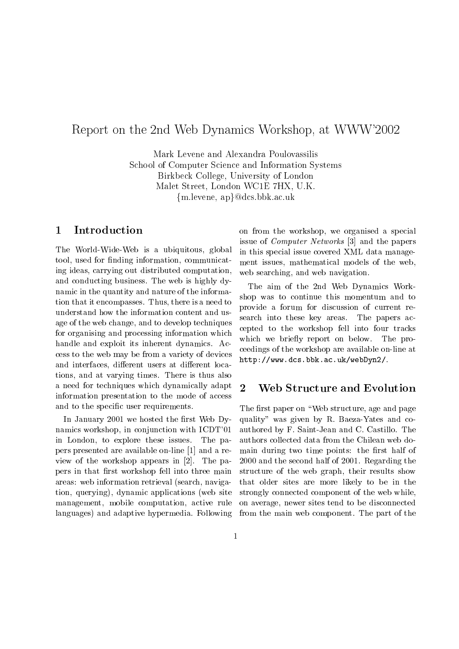# Report on the 2nd Web Dynamics Workshop, at WWW'2002

Mark Levene and Alexandra Poulovassilis School of Computer Science and Information Systems Birkbeck College, University of London Malet Street, London WC1E 7HX, U.K.  ${m.}levene, ap}@dcs.bbk.ac.uk$ 

### 1 Introduction

The World-Wide-Web is a ubiquitous, global tool, used for finding information, communicating ideas, carrying out distributed computation, and conducting business. The web is highly dynamic in the quantity and nature of the information that it encompasses. Thus, there is a need to understand how the information content and usage of the web change, and to develop techniques for organising and processing information which handle and exploit its inherent dynamics. Access to the web may be from a variety of devices and interfaces, different users at different locations, and atvarying times. There is thus also a need for techniques which dynamically adapt 2 information presentation to the mode of access and to the specific user requirements.

In January 2001 we hosted the first Web Dynamics workshop, in conjunction with ICDT'01 in London, to explore these issues. The papers presented are available on-line [1] and a review of the workshop appears in [2]. The papers in that first workshop fell into three main areas: web information retrieval (search, navigation, querying), dynamic applications (web site management, mobile computation, active rule languages) and adaptive hypermedia. Following on from the workshop, we organised a special issue of Computer Networks [3] and the papers in this special issue covered XML data management issues, mathematical models of the web, web searching, and web navigation.

The aim of the 2nd Web Dynamics Workshop was to continue this momentum and to provide a forum for discussion of current research into these key areas. The papers accepted to the workshop fell into four tracks which we briefly report on below. The proceedings of the workshop are available on-line at http://www.dcs.bbk.ac.uk/webDyn2/.

### Web Structure and Evolution

The first paper on "Web structure, age and page quality" was given by R. Baeza-Yates and coauthored by F. Saint-Jean and C. Castillo. The authors collected data from the Chilean web domain during two time points: the first half of 2000 and the second half of 2001. Regarding the structure of the web graph, their results show that older sites are more likely to be in the strongly connected component of the web while, on average, newer sites tend to be disconnected from the main web component. The part of the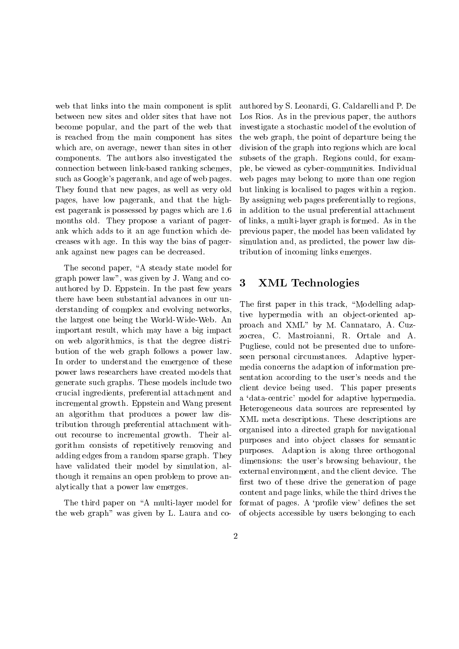web that links into the main component is split between new sites and older sites that have not become popular, and the part of the web that is reached from the main component has sites which are, on average, newer than sites in other components. The authors also investigated the connection between link-based ranking schemes, such as Google's pagerank, and age of web pages. They found that new pages, as well as very old pages, have low pagerank, and that the highest pagerank is possessed by pages which are 1.6 months old. They propose a variant of pagerank which adds to it an age function which decreases with age. In this way the bias of pagerank against new pages can be decreased.

The second paper, "A steady state model for graph power law", was given by J. Wang and coauthored by D. Eppstein. In the past few years there have been substantial advances in our understanding of complex and evolving networks, the largest one being the World-Wide-Web. An important result, which may have a big impact on web algorithmics, is that the degree distribution of the web graph follows a power law. In order to understand the emergence of these power laws researchers have created models that generate such graphs. These models include two crucial ingredients, preferential attachment and incremental growth. Eppstein and Wang present an algorithm that produces a power law distribution through preferential attachment without recourse to incremental growth. Their algorithm consists of repetitively removing and adding edges from a random sparse graph. They have validated their model by simulation, although it remains an open problem to prove analytically that a power law emerges.

The third paper on "A multi-layer model for the web graph" was given by L. Laura and coauthored by S. Leonardi, G. Caldarelli and P. De Los Rios. As in the previous paper, the authors investigate a stochastic model of the evolution of the web graph, the point of departure being the division of the graph into regions which are local subsets of the graph. Regions could, for example, be viewed as cyber-communities. Individual web pages may belong to more than one region but linking is localised to pages within a region. By assigning web pages preferentially to regions, in addition to the usual preferential attachment of links, a multi-layer graph is formed. As in the previous paper, the model has been validated by simulation and, as predicted, the power law distribution of incoming links emerges.

### 3 XML Technologies

The first paper in this track, "Modelling adaptive hypermedia with an object-oriented approach and XML" by M. Cannataro, A. Cuzzocrea, C. Mastroianni, R. Ortale and A. Pugliese, could not be presented due to unforeseen personal circumstances. Adaptive hypermedia concerns the adaption of information presentation according to the user's needs and the client device being used. This paper presents a `data-centric' model for adaptive hypermedia. Heterogeneous data sources are represented by XML meta descriptions. These descriptions are organised into a directed graph for navigational purposes and into object classes for semantic purposes. Adaption is along three orthogonal dimensions: the user's browsing behaviour, the external environment, and the client device. The first two of these drive the generation of page content and page links, while the third drives the format of pages. A 'profile view' defines the set of ob jects accessible by users belonging to each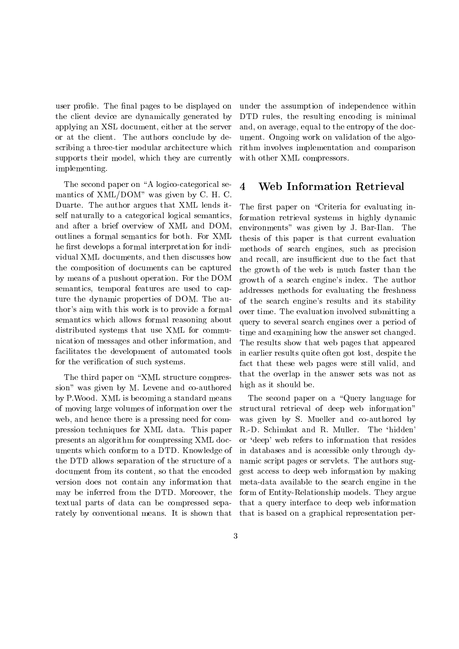user profile. The final pages to be displayed on the client device are dynamically generated by applying an XSL document, either at the server or at the client. The authors conclude by describing a three-tier modular architecture which supports their model, which they are currently implementing.

The second paper on "A logico-categorical semantics of XML/DOM" was given by C. H. C. Duarte. The author argues that XML lends itself naturally to a categorical logical semantics, and after a brief overview of XML and DOM, outlines a formal semantics for both. For XML he first develops a formal interpretation for individual XML documents, and then discusses how the composition of documents can be captured by means of a pushout operation. For the DOM semantics, temporal features are used to capture the dynamic properties of DOM. The author's aim with this work is to provide a formal semantics which allows formal reasoning about distributed systems that use XML for communication of messages and other information, and facilitates the development of automated tools for the verification of such systems.

The third paper on "XML structure compression" was given by M. Levene and co-authored by P.Wood. XML is becoming a standard means of moving large volumes of information over the web, and hence there is a pressing need for compression techniques for XML data.This paper presents an algorithm for compressing XML documents which conform to a DTD. Knowledge of the DTD allows separation of the structure of a document from its content, so that the encoded version does not contain any information that may be inferred from the DTD. Moreover, the textual parts of data can be compressed separately by conventional means. It is shown that under the assumption of independence within DTD rules, the resulting encoding is minimal and, on average, equal to the entropy of the document. Ongoing work on validation of the algorithm involves implementation and comparison with other XML compressors.

#### $\overline{\mathbf{4}}$ Web Information Retrieval

The first paper on "Criteria for evaluating information retrieval systems in highly dynamic environments" was given by J. Bar-Ilan. The thesis of this paper is that current evaluation methods of search engines, such as precision and recall, are insufficient due to the fact that the growth of the web is much faster than the growth of a search engine's index. The author addresses methods for evaluating the freshness of the search engine's results and its stability over time. The evaluation involved submitting a query to several search engines over a period of time and examining how the answer set changed. The results show that web pages that appeared in earlier results quite often got lost, despite the fact that these web pages were still valid, and that the overlap in the answer sets was not as high as it should be.

The second paper on a "Query language for structural retrieval of deep web information" was given by S. Mueller and co-authored by R.-D. Schimkat and R. Muller. The `hidden' or `deep' web refers to information that resides in databases and is accessible only through dynamic script pages or servlets. The authors suggest access to deep web information by making meta-data available to the search engine in the form of Entity-Relationship models. They argue that a query interface to deep web information that is based on a graphical representation per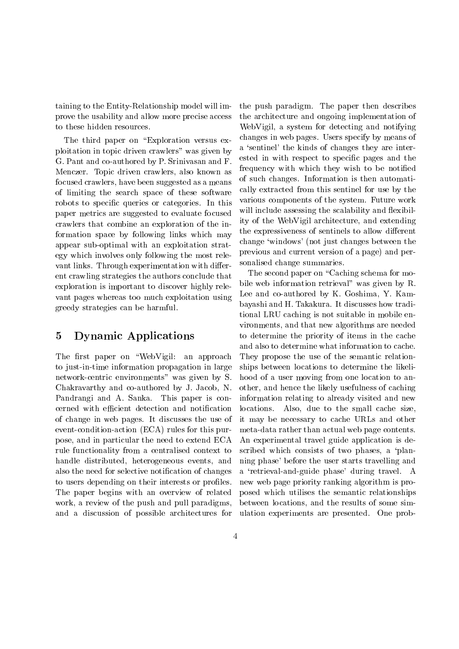taining to the Entity-Relationship model will improve the usability and allow more precise access to these hidden resources.

The third paper on "Exploration versus exploitation in topic driven crawlers" was given by G. Pant and co-authored by P. Srinivasan and F. Menczer. Topic driven crawlers, also known as focused crawlers, have been suggested as a means of limiting the search space of these software robots to specific queries or categories. In this paper metrics are suggested to evaluate focused crawlers that combine an exploration of the information space by following links which may appear sub-optimal with an exploitation strategy which involves only following the most relevant links. Through experimentation with different crawling strategies the authors conclude that exploration is important to discover highly relevant pages whereas too much exploitation using greedy strategies can be harmful.

## 5 Dynamic Applications

The first paper on "WebVigil: an approach to just-in-time information propagation in large network-centric environments" was given by S. Chakravarthy and co-authored by J. Jacob, N. Pandrangi and A. Sanka. This paper is concerned with efficient detection and notification of change in web pages. It discusses the use of event-condition-action (ECA) rules for this purpose, and in particular the need to extend ECA rule functionality from a centralised context to handle distributed, heterogeneous events, and also the need for selective notication of changes to users depending on their interests or profiles. The paper begins with an overview of related work, a review of the push and pull paradigms, and a discussion of possible architectures for the push paradigm. The paper then describes the architecture and ongoing implementation of WebVigil, a system for detecting and notifying changes in web pages. Users specify by means of a 'sentinel' the kinds of changes they are interested in with respect to specic pages and the frequency with which they wish to be notied of such changes. Information is then automatically extracted from this sentinel for use by the various components of the system. Future work will include assessing the scalability and flexibility of the WebVigil architecture, and extending the expressiveness of sentinels to allow different change `windows' (not just changes between the previous and current version of a page) and personalised change summaries.

The second paper on "Caching schema for mobile web information retrieval" was given by R. Lee and co-authored by K. Goshima, Y. Kambayashi and H. Takakura. It discusses how traditional LRU caching is not suitable in mobile environments, and that new algorithms are needed to determine the priority of items in the cache and also to determine what information to cache. They propose the use of the semantic relationships between locations to determine the likelihood of a user moving from one location to another, and hence the likely usefulness of caching information relating to already visited and new locations. Also, due to the small cache size, it may be necessary to cache URLs and other meta-data rather than actual web page contents. An experimental travel guide application is described which consists of two phases, a 'planning phase' before the user starts travelling and a `retrieval-and-guide phase' during travel. A new web page priority ranking algorithm is proposed which utilises the semantic relationships between locations, and the results of some simulation experiments are presented. One prob